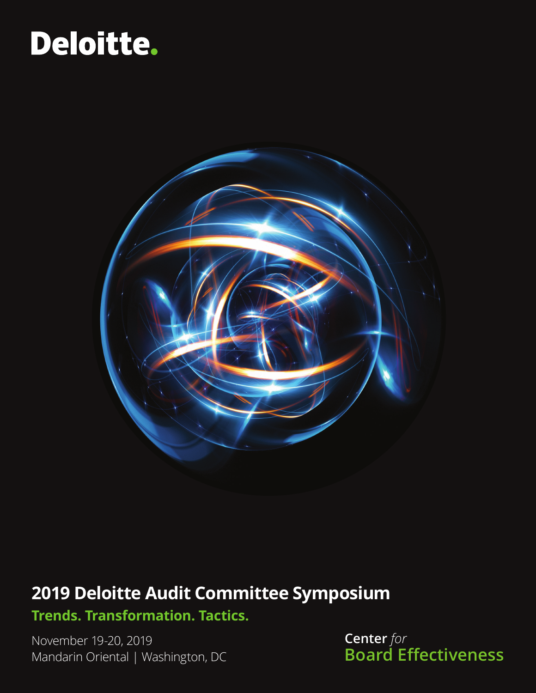# Deloitte.



# **2019 Deloitte Audit Committee Symposium**

**Trends. Transformation. Tactics.**

Mandarin Oriental | Washington, DC November 19-20, 2019

**Center** *for* **Board Effectiveness**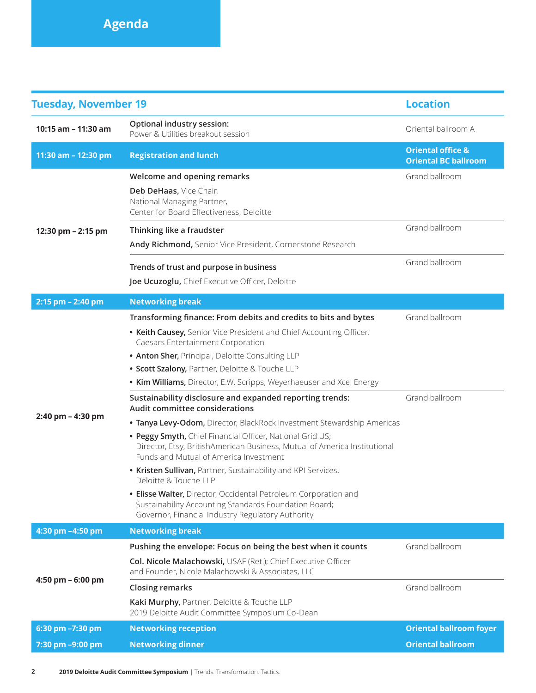| <b>Tuesday, November 19</b> |                                                                                                                                                                                  | <b>Location</b>                                             |
|-----------------------------|----------------------------------------------------------------------------------------------------------------------------------------------------------------------------------|-------------------------------------------------------------|
| 10:15 am - 11:30 am         | Optional industry session:<br>Power & Utilities breakout session                                                                                                                 | Oriental ballroom A                                         |
| 11:30 am - 12:30 pm         | <b>Registration and lunch</b>                                                                                                                                                    | <b>Oriental office &amp;</b><br><b>Oriental BC ballroom</b> |
| 12:30 pm - 2:15 pm          | Welcome and opening remarks                                                                                                                                                      | Grand ballroom                                              |
|                             | Deb DeHaas, Vice Chair,<br>National Managing Partner,<br>Center for Board Effectiveness, Deloitte                                                                                |                                                             |
|                             | Thinking like a fraudster                                                                                                                                                        | Grand ballroom                                              |
|                             | Andy Richmond, Senior Vice President, Cornerstone Research                                                                                                                       |                                                             |
|                             | Trends of trust and purpose in business                                                                                                                                          | Grand ballroom                                              |
|                             | Joe Ucuzoglu, Chief Executive Officer, Deloitte                                                                                                                                  |                                                             |
| 2:15 pm - 2:40 pm           | <b>Networking break</b>                                                                                                                                                          |                                                             |
| 2:40 pm - 4:30 pm           | Transforming finance: From debits and credits to bits and bytes                                                                                                                  | Grand ballroom                                              |
|                             | • Keith Causey, Senior Vice President and Chief Accounting Officer,<br>Caesars Entertainment Corporation                                                                         |                                                             |
|                             | . Anton Sher, Principal, Deloitte Consulting LLP                                                                                                                                 |                                                             |
|                             | · Scott Szalony, Partner, Deloitte & Touche LLP                                                                                                                                  |                                                             |
|                             | • Kim Williams, Director, E.W. Scripps, Weyerhaeuser and Xcel Energy                                                                                                             |                                                             |
|                             | Sustainability disclosure and expanded reporting trends:<br>Audit committee considerations                                                                                       | Grand ballroom                                              |
|                             | . Tanya Levy-Odom, Director, BlackRock Investment Stewardship Americas                                                                                                           |                                                             |
|                             | . Peggy Smyth, Chief Financial Officer, National Grid US;<br>Director, Etsy, BritishAmerican Business, Mutual of America Institutional<br>Funds and Mutual of America Investment |                                                             |
|                             | • Kristen Sullivan, Partner, Sustainability and KPI Services,<br>Deloitte & Touche LLP                                                                                           |                                                             |
|                             | • Elisse Walter, Director, Occidental Petroleum Corporation and<br>Sustainability Accounting Standards Foundation Board;<br>Governor, Financial Industry Regulatory Authority    |                                                             |
| 4:30 pm -4:50 pm            | <b>Networking break</b>                                                                                                                                                          |                                                             |
| 4:50 pm - 6:00 pm           | Pushing the envelope: Focus on being the best when it counts                                                                                                                     | Grand ballroom                                              |
|                             | Col. Nicole Malachowski, USAF (Ret.); Chief Executive Officer<br>and Founder, Nicole Malachowski & Associates, LLC                                                               |                                                             |
|                             | <b>Closing remarks</b>                                                                                                                                                           | Grand ballroom                                              |
|                             | Kaki Murphy, Partner, Deloitte & Touche LLP<br>2019 Deloitte Audit Committee Symposium Co-Dean                                                                                   |                                                             |
| 6:30 pm -7:30 pm            | <b>Networking reception</b>                                                                                                                                                      | <b>Oriental ballroom foyer</b>                              |
| 7:30 pm -9:00 pm            | <b>Networking dinner</b>                                                                                                                                                         | <b>Oriental ballroom</b>                                    |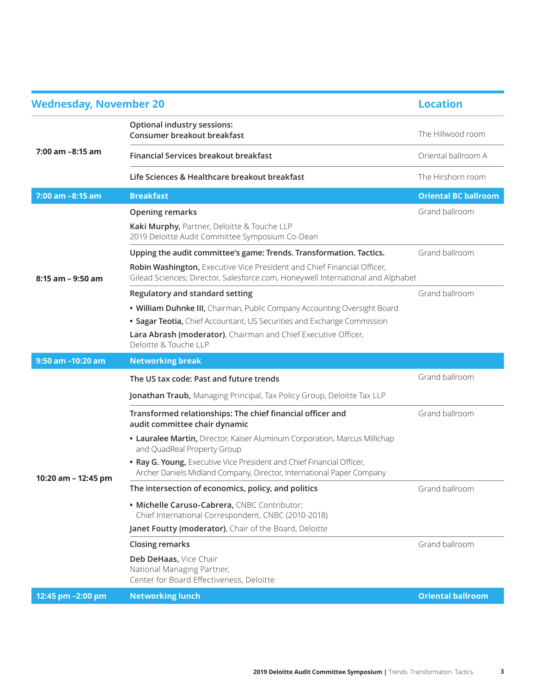| <b>Wednesday, November 20</b> |                                                                                                                                                                                                                                                 | <b>Location</b>             |
|-------------------------------|-------------------------------------------------------------------------------------------------------------------------------------------------------------------------------------------------------------------------------------------------|-----------------------------|
| 7:00 am -8:15 am              | <b>Optional industry sessions:</b><br>Consumer breakout breakfast                                                                                                                                                                               | The Hillwood room           |
|                               | Financial Services breakout breakfast                                                                                                                                                                                                           | Oriental ballroom A         |
|                               | Life Sciences & Healthcare breakout breakfast                                                                                                                                                                                                   | The Hirshorn room           |
| 7:00 am -8:15 am              | <b>Breakfast</b>                                                                                                                                                                                                                                | <b>Oriental BC ballroom</b> |
| $8:15$ am $-9:50$ am          | <b>Opening remarks</b>                                                                                                                                                                                                                          | Grand ballroom              |
|                               | Kaki Murphy, Partner, Deloitte & Touche LLP<br>2019 Deloitte Audit Committee Symposium Co-Dean                                                                                                                                                  |                             |
|                               | Upping the audit committee's game: Trends. Transformation. Tactics.                                                                                                                                                                             | Grand ballroom              |
|                               | Robin Washington, Executive Vice President and Chief Financial Officer,<br>Gilead Sciences; Director, Salesforce.com, Honeywell International and Alphabet                                                                                      |                             |
|                               | Regulatory and standard setting                                                                                                                                                                                                                 | Grand ballroom              |
|                               | . William Duhnke III, Chairman, Public Company Accounting Oversight Board<br>• Sagar Teotia, Chief Accountant, US Securities and Exchange Commission<br>Lara Abrash (moderator), Chairman and Chief Executive Officer,<br>Deloitte & Touche LLP |                             |
| 9:50 am -10:20 am             | <b>Networking break</b>                                                                                                                                                                                                                         |                             |
| 10:20 am - 12:45 pm           | The US tax code: Past and future trends                                                                                                                                                                                                         | Grand ballroom              |
|                               | Jonathan Traub, Managing Principal, Tax Policy Group, Deloitte Tax LLP                                                                                                                                                                          |                             |
|                               | Transformed relationships: The chief financial officer and<br>audit committee chair dynamic                                                                                                                                                     | Grand ballroom              |
|                               | • Lauralee Martin, Director, Kaiser Aluminum Corporation, Marcus Millichap<br>and QuadReal Property Group                                                                                                                                       |                             |
|                               | . Ray G. Young, Executive Vice President and Chief Financial Officer,<br>Archer Daniels Midland Company, Director, International Paper Company                                                                                                  |                             |
|                               | The intersection of economics, policy, and politics                                                                                                                                                                                             | Grand ballroom              |
|                               | · Michelle Caruso-Cabrera, CNBC Contributor;<br>Chief International Correspondent, CNBC (2010-2018)                                                                                                                                             |                             |
|                               | Janet Foutty (moderator), Chair of the Board, Deloitte                                                                                                                                                                                          |                             |
|                               | <b>Closing remarks</b>                                                                                                                                                                                                                          | Grand ballroom              |
|                               | Deb DeHaas, Vice Chair<br>National Managing Partner,<br>Center for Board Effectiveness, Deloitte                                                                                                                                                |                             |
| 12:45 pm -2:00 pm             | <b>Networking lunch</b>                                                                                                                                                                                                                         | <b>Oriental ballroom</b>    |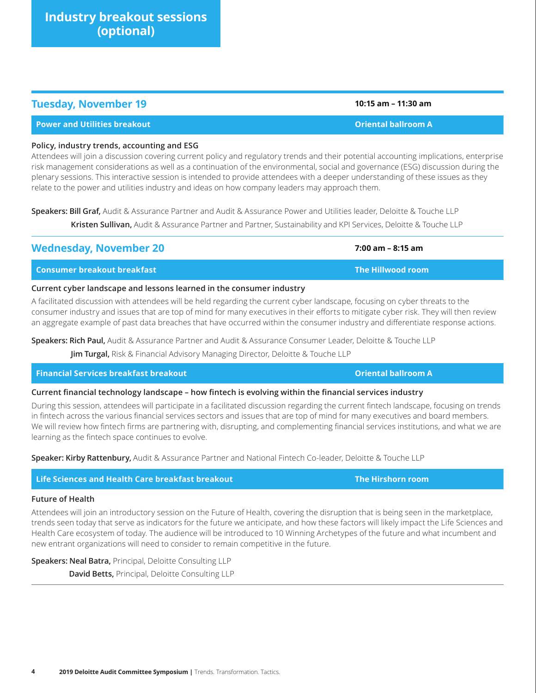**Industry breakout sessions** 

## **Tuesday, November 19 10:15 am – 11:30 am**

#### **Policy, industry trends, accounting and ESG**

Attendees will join a discussion covering current policy and regulatory trends and their potential accounting implications, enterprise risk management considerations as well as a continuation of the environmental, social and governance (ESG) discussion during the plenary sessions. This interactive session is intended to provide attendees with a deeper understanding of these issues as they relate to the power and utilities industry and ideas on how company leaders may approach them.

**Speakers: Bill Graf,** Audit & Assurance Partner and Audit & Assurance Power and Utilities leader, Deloitte & Touche LLP

**Power and Utilities breakout Oriental ballroom A**

**Kristen Sullivan,** Audit & Assurance Partner and Partner, Sustainability and KPI Services, Deloitte & Touche LLP

### **Consumer breakout breakfast The Hillwood room**

#### **Current cyber landscape and lessons learned in the consumer industry**

A facilitated discussion with attendees will be held regarding the current cyber landscape, focusing on cyber threats to the consumer industry and issues that are top of mind for many executives in their efforts to mitigate cyber risk. They will then review an aggregate example of past data breaches that have occurred within the consumer industry and differentiate response actions.

**Speakers: Rich Paul,** Audit & Assurance Partner and Audit & Assurance Consumer Leader, Deloitte & Touche LLP

**Wednesday, November 20 7:00 am – 8:15 am** 

**Jim Turgal,** Risk & Financial Advisory Managing Director, Deloitte & Touche LLP

#### **Financial Services breakfast breakout Oriental ballroom A**

#### **Current financial technology landscape – how fintech is evolving within the financial services industry**

During this session, attendees will participate in a facilitated discussion regarding the current fintech landscape, focusing on trends in fintech across the various financial services sectors and issues that are top of mind for many executives and board members. We will review how fintech firms are partnering with, disrupting, and complementing financial services institutions, and what we are learning as the fintech space continues to evolve.

**Speaker: Kirby Rattenbury,** Audit & Assurance Partner and National Fintech Co-leader, Deloitte & Touche LLP

### **Life Sciences and Health Care breakfast breakout The Hirshorn room**

#### **Future of Health**

Attendees will join an introductory session on the Future of Health, covering the disruption that is being seen in the marketplace, trends seen today that serve as indicators for the future we anticipate, and how these factors will likely impact the Life Sciences and Health Care ecosystem of today. The audience will be introduced to 10 Winning Archetypes of the future and what incumbent and new entrant organizations will need to consider to remain competitive in the future.

**Speakers: Neal Batra,** Principal, Deloitte Consulting LLP

**David Betts,** Principal, Deloitte Consulting LLP

**(optional)**